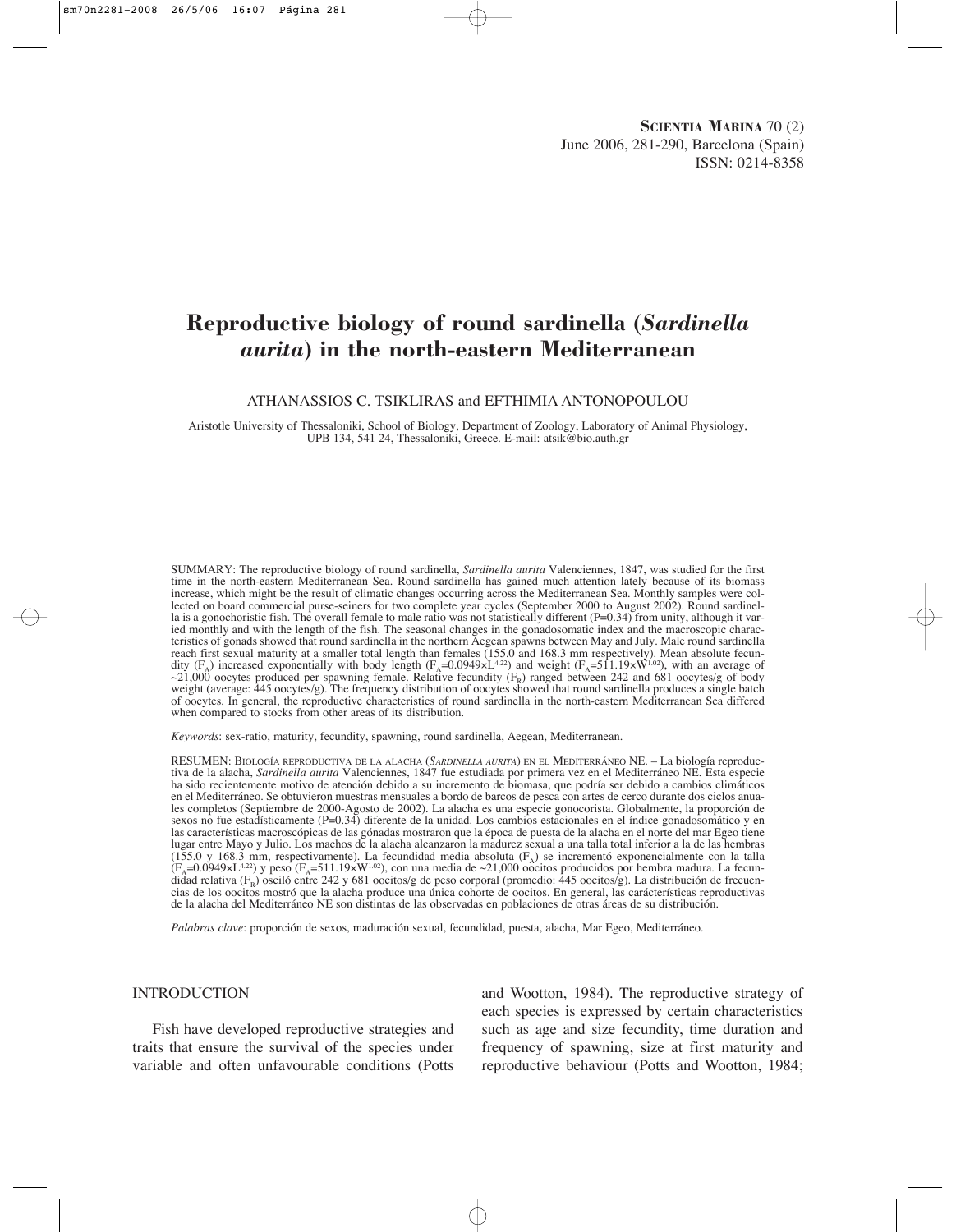# **Reproductive biology of round sardinella (***Sardinella aurita***) in the north-eastern Mediterranean**

### ATHANASSIOS C. TSIKLIRAS and EFTHIMIA ANTONOPOULOU

Aristotle University of Thessaloniki, School of Biology, Department of Zoology, Laboratory of Animal Physiology, UPB 134, 541 24, Thessaloniki, Greece. E-mail: atsik@bio.auth.gr

SUMMARY: The reproductive biology of round sardinella, *Sardinella aurita* Valenciennes, 1847, was studied for the first time in the north-eastern Mediterranean Sea. Round sardinella has gained much attention lately because of its biomass increase, which might be the result of climatic changes occurring across the Mediterranean Sea. Monthly samples were collected on board commercial purse-seiners for two complete year cycles (September 2000 to August 2002). Round sardinella is a gonochoristic fish. The overall female to male ratio was not statistically different  $(P=0.34)$  from unity, although it varied monthly and with the length of the fish. The seasonal changes in the gonadosomatic inde teristics of gonads showed that round sardinella in the northern Aegean spawns between May and July. Male round sardinella reach first sexual maturity at a smaller total length than females (155.0 and 168.3 mm respectively). Mean absolute fecundity ( $F_A$ ) increased exponentially with body length ( $F_A=0.0949\times L^{4.22}$ ) and weight ( $F_A=511.19\times W^{1.02}$ ), with an average of  $\sim$ 21,000 oocytes produced per spawning female. Relative fecundity ( $F_R$ ) ranged between 242 and 681 oocytes/g of body<br>weight (average: 445 oocytes/g). The frequency distribution of oocytes showed that round sardinella p of oocytes. In general, the reproductive characteristics of round sardinella in the north-eastern Mediterranean Sea differed when compared to stocks from other areas of its distribution.

*Keywords*: sex-ratio, maturity, fecundity, spawning, round sardinella, Aegean, Mediterranean.

RESUMEN: BIOLOGÍA REPRODUCTIVA DE LA ALACHA (*SARDINELLA AURITA*) EN EL MEDITERRÁNEO NE. – La biología reproductiva de la alacha, *Sardinella aurita* Valenciennes, 1847 fue estudiada por primera vez en el Mediterráneo NE. Esta especie ha sido recientemente motivo de atención debido a su incremento de biomasa, que podría ser debido a cambios climáticos en el Mediterráneo. Se obtuvieron muestras mensuales a bordo de barcos de pesca con artes de cerco durante dos ciclos anuales completos (Septiembre de 2000-Agosto de 2002). La alacha es una especie gonocorista. Globalmente, la proporción de sexos no fue estadísticamente (P=0.34) diferente de la unidad. Los cambios estacionales en el índice gonadosomático y en las características macroscópicas de las gónadas mostraron que la época de puesta de la alacha en el norte del mar Egeo tiene lugar entre Mayo y Julio. Los machos de la alacha alcanzaron la madurez sexual a una talla total inferior a la de las hembras (155.0 y 168.3 mm, respectivamente). La fecundidad media absoluta  $(F_A)$  se incrementó exponencialmente con la talla  $(F_A=0.0949 \times L^{4.22})$  y peso  $(F_A=511.19 \times W^{1.02})$ , con una media de ~21,000 oocitos producidos por hembra madura. La fecundidad relativa (F<sub>R</sub>) osciló entre 242 y 681 oocitos/g de peso corporal (promedio: 445 oocitos/g). La distribución de frecuencias de los oocitos mostró que la alacha produce una única cohorte de oocitos. En general, las carácterísticas reproductivas de la alacha del Mediterráneo NE son distintas de las observadas en poblaciones de otras áreas de su distribución.

*Palabras clave*: proporción de sexos, maduración sexual, fecundidad, puesta, alacha, Mar Egeo, Mediterráneo.

## INTRODUCTION

Fish have developed reproductive strategies and traits that ensure the survival of the species under variable and often unfavourable conditions (Potts and Wootton, 1984). The reproductive strategy of each species is expressed by certain characteristics such as age and size fecundity, time duration and frequency of spawning, size at first maturity and reproductive behaviour (Potts and Wootton, 1984;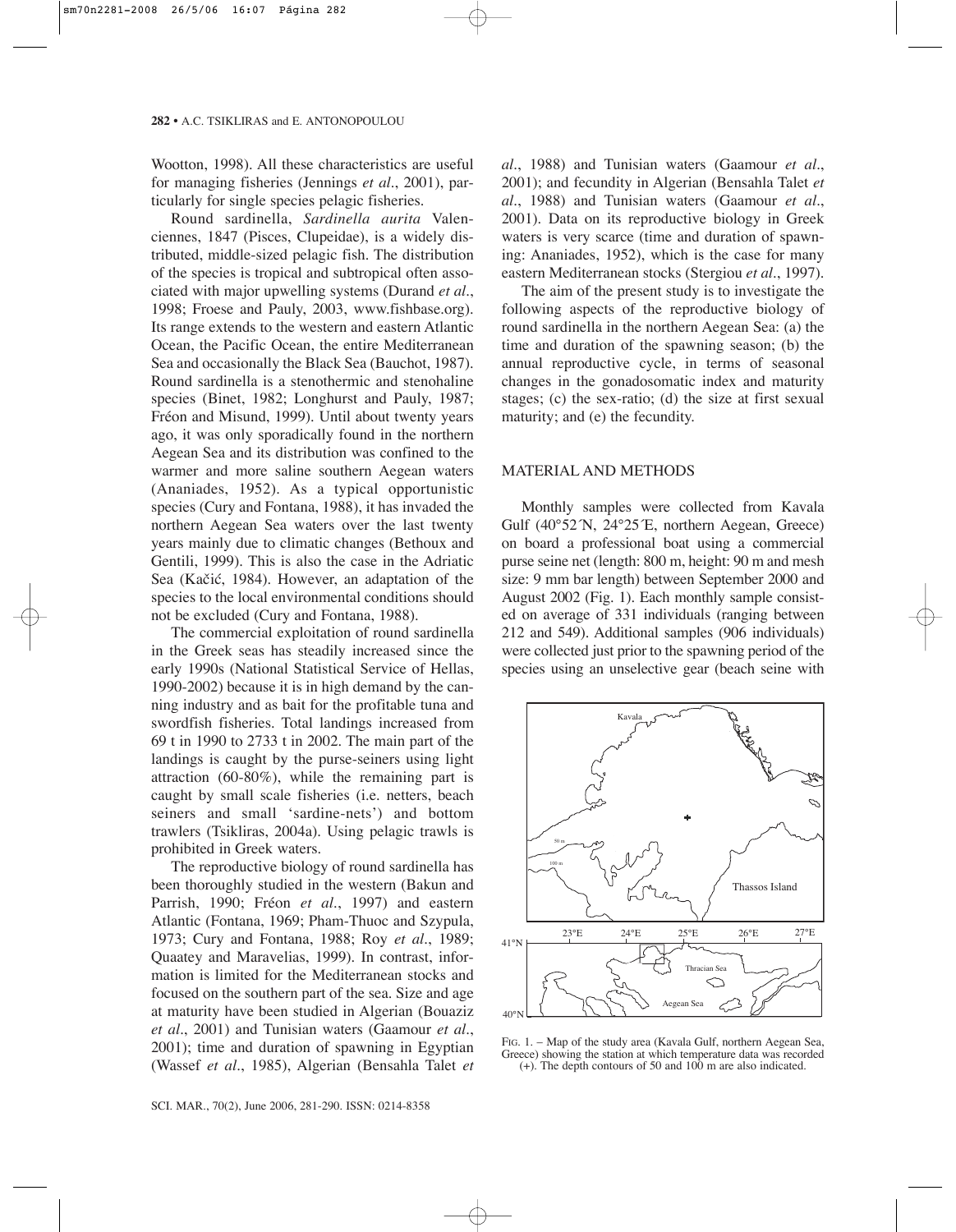Wootton, 1998). All these characteristics are useful for managing fisheries (Jennings *et al.*, 2001), particularly for single species pelagic fisheries.

Round sardinella, *Sardinella aurita* Valenciennes, 1847 (Pisces, Clupeidae), is a widely distributed, middle-sized pelagic fish. The distribution of the species is tropical and subtropical often associated with major upwelling systems (Durand *et al.*, 1998; Froese and Pauly, 2003, www.fishbase.org). Its range extends to the western and eastern Atlantic Ocean, the Pacific Ocean, the entire Mediterranean Sea and occasionally the Black Sea (Bauchot, 1987). Round sardinella is a stenothermic and stenohaline species (Binet, 1982; Longhurst and Pauly, 1987; Fréon and Misund, 1999). Until about twenty years ago, it was only sporadically found in the northern Aegean Sea and its distribution was confined to the warmer and more saline southern Aegean waters (Ananiades, 1952). As a typical opportunistic species (Cury and Fontana, 1988), it has invaded the northern Aegean Sea waters over the last twenty years mainly due to climatic changes (Bethoux and Gentili, 1999). This is also the case in the Adriatic Sea (Kačić, 1984). However, an adaptation of the species to the local environmental conditions should not be excluded (Cury and Fontana, 1988).

The commercial exploitation of round sardinella in the Greek seas has steadily increased since the early 1990s (National Statistical Service of Hellas, 1990-2002) because it is in high demand by the canning industry and as bait for the profitable tuna and swordfish fisheries. Total landings increased from 69 t in 1990 to 2733 t in 2002. The main part of the landings is caught by the purse-seiners using light attraction (60-80%), while the remaining part is caught by small scale fisheries (i.e. netters, beach seiners and small 'sardine-nets') and bottom trawlers (Tsikliras, 2004a). Using pelagic trawls is prohibited in Greek waters.

The reproductive biology of round sardinella has been thoroughly studied in the western (Bakun and Parrish, 1990; Fréon *et al.*, 1997) and eastern Atlantic (Fontana, 1969; Pham-Thuoc and Szypula, 1973; Cury and Fontana, 1988; Roy *et al.*, 1989; Quaatey and Maravelias, 1999). In contrast, information is limited for the Mediterranean stocks and focused on the southern part of the sea. Size and age at maturity have been studied in Algerian (Bouaziz *et al.*, 2001) and Tunisian waters (Gaamour *et al.*, 2001); time and duration of spawning in Egyptian (Wassef *et al.*, 1985), Algerian (Bensahla Talet *et* *al.*, 1988) and Tunisian waters (Gaamour *et al.*, 2001); and fecundity in Algerian (Bensahla Talet *et al.*, 1988) and Tunisian waters (Gaamour *et al.*, 2001). Data on its reproductive biology in Greek waters is very scarce (time and duration of spawning: Ananiades, 1952), which is the case for many eastern Mediterranean stocks (Stergiou *et al.*, 1997).

The aim of the present study is to investigate the following aspects of the reproductive biology of round sardinella in the northern Aegean Sea: (a) the time and duration of the spawning season; (b) the annual reproductive cycle, in terms of seasonal changes in the gonadosomatic index and maturity stages; (c) the sex-ratio; (d) the size at first sexual maturity; and (e) the fecundity.

# MATERIAL AND METHODS

Monthly samples were collected from Kavala Gulf (40°52´N, 24°25´E, northern Aegean, Greece) on board a professional boat using a commercial purse seine net (length: 800 m, height: 90 m and mesh size: 9 mm bar length) between September 2000 and August 2002 (Fig. 1). Each monthly sample consisted on average of 331 individuals (ranging between 212 and 549). Additional samples (906 individuals) were collected just prior to the spawning period of the species using an unselective gear (beach seine with



FIG. 1. – Map of the study area (Kavala Gulf, northern Aegean Sea, Greece) showing the station at which temperature data was recorded (+). The depth contours of 50 and 100 m are also indicated.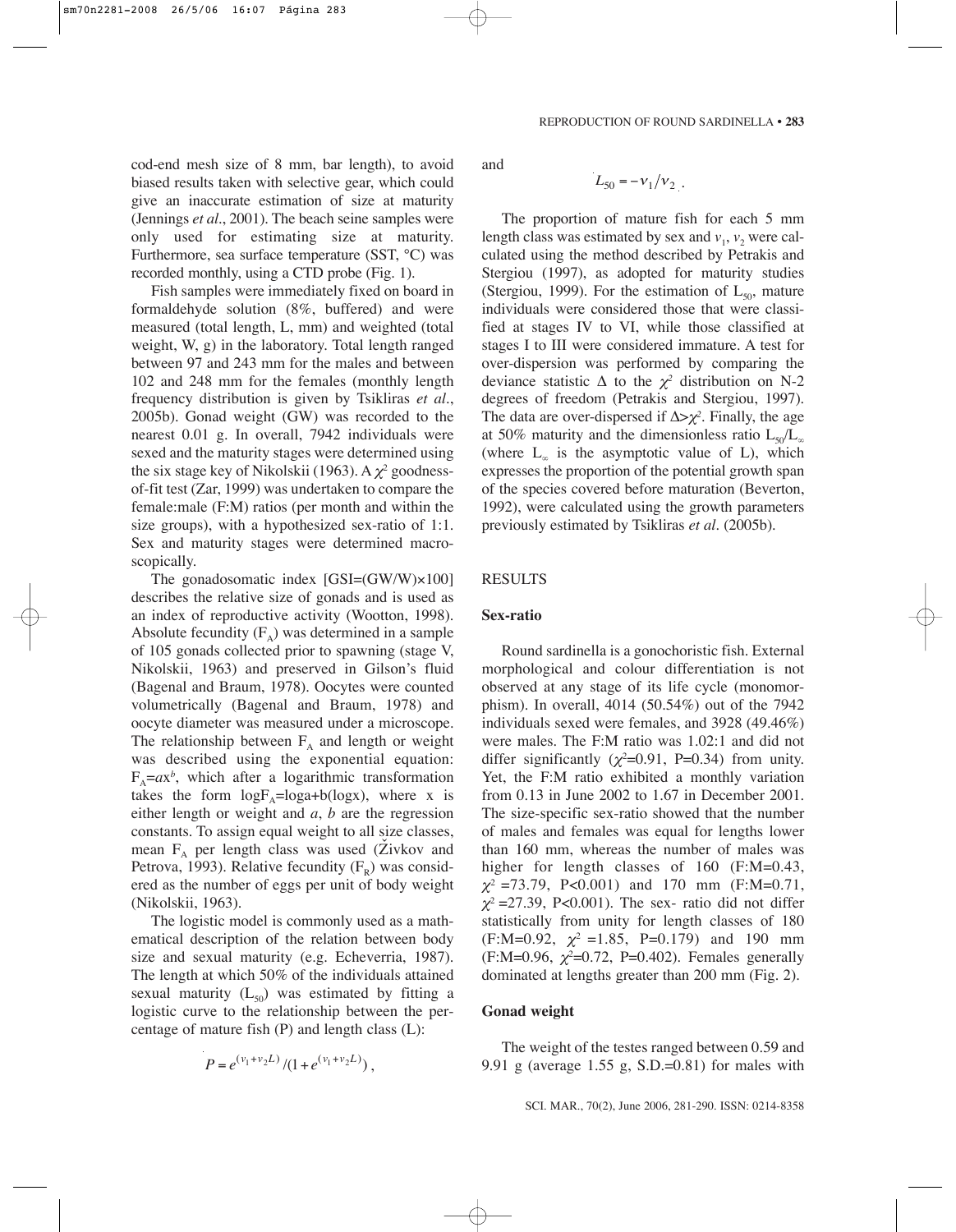cod-end mesh size of 8 mm, bar length), to avoid biased results taken with selective gear, which could give an inaccurate estimation of size at maturity (Jennings *et al.*, 2001). The beach seine samples were only used for estimating size at maturity. Furthermore, sea surface temperature (SST, °C) was recorded monthly, using a CTD probe (Fig. 1).

Fish samples were immediately fixed on board in formaldehyde solution (8%, buffered) and were measured (total length, L, mm) and weighted (total weight, W, g) in the laboratory. Total length ranged between 97 and 243 mm for the males and between 102 and 248 mm for the females (monthly length frequency distribution is given by Tsikliras *et al.*, 2005b). Gonad weight (GW) was recorded to the nearest 0.01 g. In overall, 7942 individuals were sexed and the maturity stages were determined using the six stage key of Nikolskii (1963). A  $\chi^2$  goodnessof-fit test (Zar, 1999) was undertaken to compare the female:male (F:M) ratios (per month and within the size groups), with a hypothesized sex-ratio of 1:1. Sex and maturity stages were determined macroscopically.

The gonadosomatic index [GSI=(GW/W)×100] describes the relative size of gonads and is used as an index of reproductive activity (Wootton, 1998). Absolute fecundity  $(F_{\lambda})$  was determined in a sample of 105 gonads collected prior to spawning (stage V, Nikolskii, 1963) and preserved in Gilson's fluid (Bagenal and Braum, 1978). Oocytes were counted volumetrically (Bagenal and Braum, 1978) and oocyte diameter was measured under a microscope. The relationship between  $F_A$  and length or weight was described using the exponential equation:  $F_{\Delta} = ax^b$ , which after a logarithmic transformation takes the form  $logF_A = loga + b(logx)$ , where x is either length or weight and *a*, *b* are the regression constants. To assign equal weight to all size classes, mean  $F_A$  per length class was used (Zivkov and Petrova, 1993). Relative fecundity  $(F_R)$  was considered as the number of eggs per unit of body weight (Nikolskii, 1963).

The logistic model is commonly used as a mathematical description of the relation between body size and sexual maturity (e.g. Echeverria, 1987). The length at which 50% of the individuals attained sexual maturity  $(L_{50})$  was estimated by fitting a logistic curve to the relationship between the percentage of mature fish (P) and length class (L):

$$
P = e^{(v_1 + v_2 L)} / (1 + e^{(v_1 + v_2 L)})
$$

and

$$
L_{50} = -\nu_1/\nu_2 \ .
$$

The proportion of mature fish for each 5 mm length class was estimated by sex and  $v_1$ ,  $v_2$  were calculated using the method described by Petrakis and Stergiou (1997), as adopted for maturity studies (Stergiou, 1999). For the estimation of  $L_{50}$ , mature individuals were considered those that were classified at stages IV to VI, while those classified at stages I to III were considered immature. A test for over-dispersion was performed by comparing the deviance statistic  $\Delta$  to the  $\chi^2$  distribution on N-2 degrees of freedom (Petrakis and Stergiou, 1997). The data are over-dispersed if ∆>χ*<sup>2</sup>* . Finally, the age at 50% maturity and the dimensionless ratio  $L_{50}/L_{\infty}$ (where  $L_{\infty}$  is the asymptotic value of L), which expresses the proportion of the potential growth span of the species covered before maturation (Beverton, 1992), were calculated using the growth parameters previously estimated by Tsikliras *et al.* (2005b).

## RESULTS

#### **Sex-ratio**

Round sardinella is a gonochoristic fish. External morphological and colour differentiation is not observed at any stage of its life cycle (monomorphism). In overall, 4014 (50.54%) out of the 7942 individuals sexed were females, and 3928 (49.46%) were males. The F:M ratio was 1.02:1 and did not differ significantly ( $\chi^2$ =0.91, P=0.34) from unity. Yet, the F:M ratio exhibited a monthly variation from 0.13 in June 2002 to 1.67 in December 2001. The size-specific sex-ratio showed that the number of males and females was equal for lengths lower than 160 mm, whereas the number of males was higher for length classes of 160 (F:M=0.43,  $\chi^2$  =73.79, P<0.001) and 170 mm (F:M=0.71,  $\chi^2$  =27.39, P<0.001). The sex- ratio did not differ statistically from unity for length classes of 180 (F:M=0.92,  $\chi^2$  =1.85, P=0.179) and 190 mm  $(F:M=0.96, \chi^2=0.72, P=0.402)$ . Females generally dominated at lengths greater than 200 mm (Fig. 2).

#### **Gonad weight**

The weight of the testes ranged between 0.59 and 9.91 g (average 1.55 g, S.D.=0.81) for males with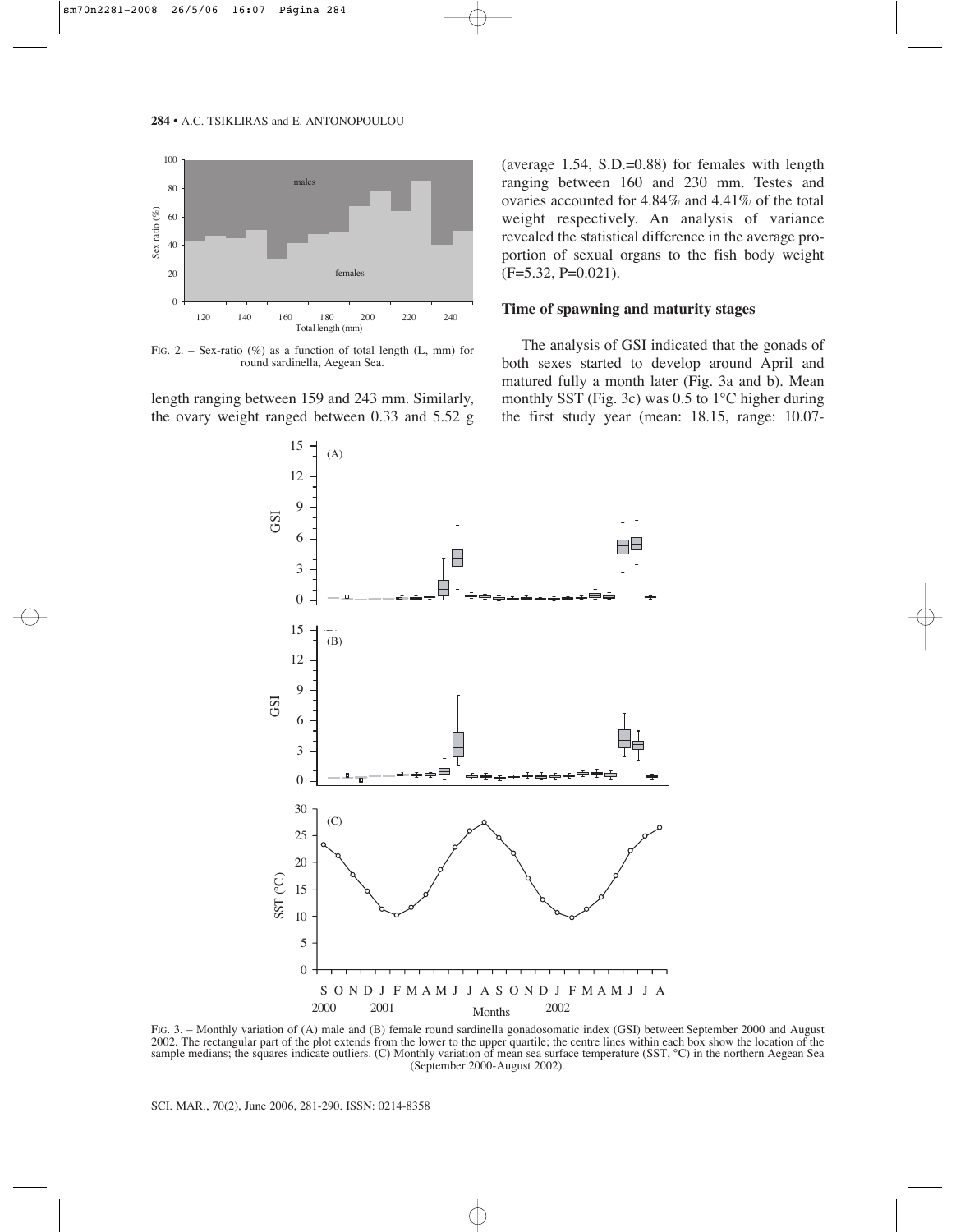

FIG. 2. – Sex-ratio  $(\%)$  as a function of total length (L, mm) for round sardinella, Aegean Sea.

length ranging between 159 and 243 mm. Similarly, the ovary weight ranged between 0.33 and 5.52 g (average 1.54, S.D.=0.88) for females with length ranging between 160 and 230 mm. Testes and ovaries accounted for 4.84% and 4.41% of the total weight respectively. An analysis of variance revealed the statistical difference in the average proportion of sexual organs to the fish body weight (F=5.32, P=0.021).

## **Time of spawning and maturity stages**

The analysis of GSI indicated that the gonads of both sexes started to develop around April and matured fully a month later (Fig. 3a and b). Mean monthly SST (Fig. 3c) was 0.5 to 1°C higher during the first study year (mean: 18.15, range: 10.07-



FIG. 3. – Monthly variation of (A) male and (B) female round sardinella gonadosomatic index (GSI) between September 2000 and August 2002. The rectangular part of the plot extends from the lower to the upper quartile; the centre lines within each box show the location of the sample medians; the squares indicate outliers. (C) Monthly variation of mean sea surface temperature (SST, °C) in the northern Aegean Sea (September 2000-August 2002).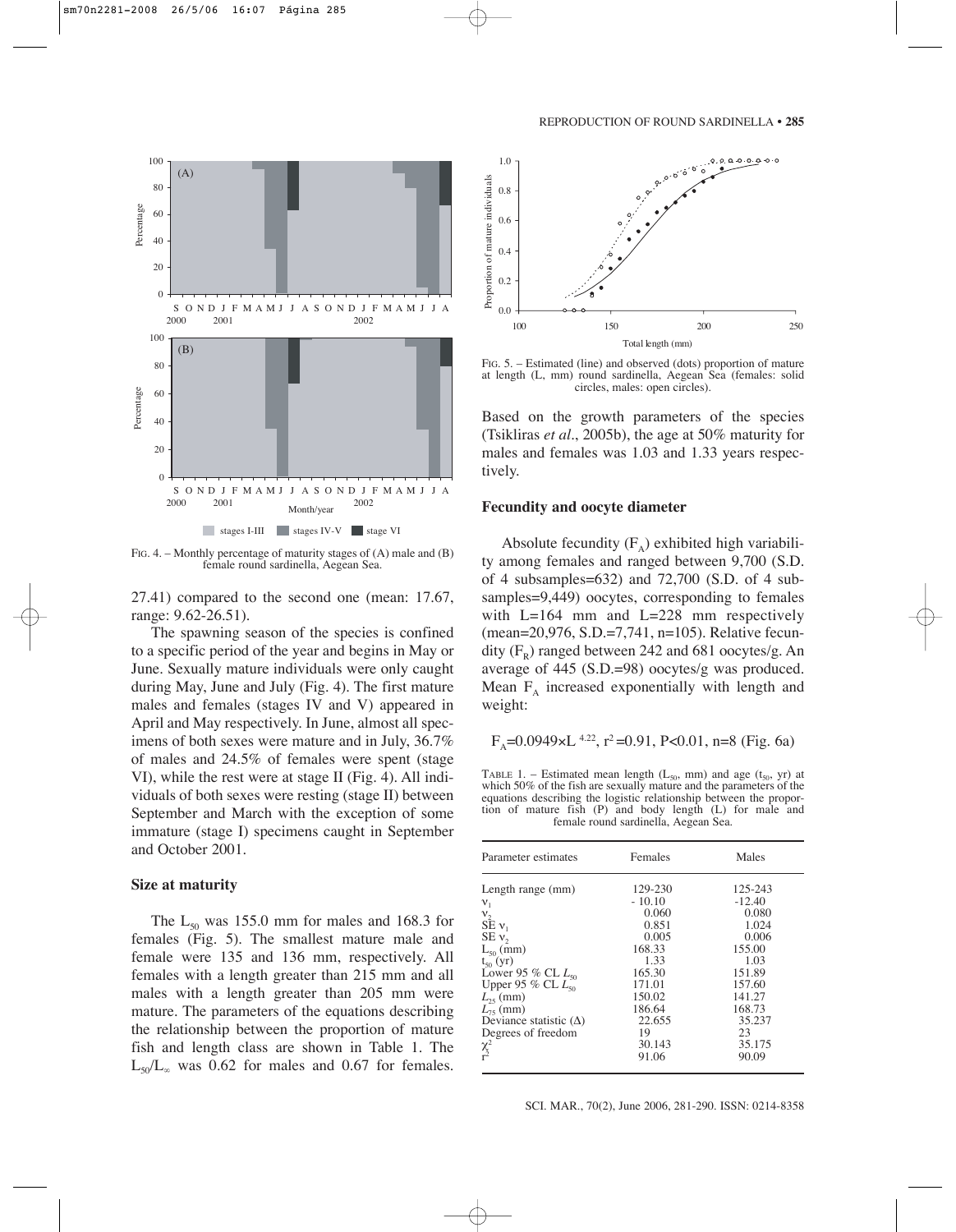



FIG. 4. – Monthly percentage of maturity stages of (A) male and (B) female round sardinella, Aegean Sea.

27.41) compared to the second one (mean: 17.67, range: 9.62-26.51).

The spawning season of the species is confined to a specific period of the year and begins in May or June. Sexually mature individuals were only caught during May, June and July (Fig. 4). The first mature males and females (stages IV and V) appeared in April and May respectively. In June, almost all specimens of both sexes were mature and in July, 36.7% of males and 24.5% of females were spent (stage VI), while the rest were at stage II (Fig. 4). All individuals of both sexes were resting (stage II) between September and March with the exception of some immature (stage I) specimens caught in September and October 2001.

#### **Size at maturity**

The  $L_{50}$  was 155.0 mm for males and 168.3 for females (Fig. 5). The smallest mature male and female were 135 and 136 mm, respectively. All females with a length greater than 215 mm and all males with a length greater than 205 mm were mature. The parameters of the equations describing the relationship between the proportion of mature fish and length class are shown in Table 1. The  $L_{50}/L_{\infty}$  was 0.62 for males and 0.67 for females.



FIG. 5. – Estimated (line) and observed (dots) proportion of mature at length (L, mm) round sardinella, Aegean Sea (females: solid circles, males: open circles).

Based on the growth parameters of the species (Tsikliras *et al.*, 2005b), the age at 50% maturity for males and females was 1.03 and 1.33 years respectively.

## **Fecundity and oocyte diameter**

Absolute fecundity  $(F_A)$  exhibited high variability among females and ranged between 9,700 (S.D. of 4 subsamples=632) and 72,700 (S.D. of 4 subsamples=9,449) oocytes, corresponding to females with  $L=164$  mm and  $L=228$  mm respectively (mean=20,976, S.D.=7,741, n=105). Relative fecundity  $(F_p)$  ranged between 242 and 681 oocytes/g. An average of 445 (S.D.=98) oocytes/g was produced. Mean  $F_A$  increased exponentially with length and weight:

$$
F_A=0.0949 \times L^{4.22}
$$
,  $r^2=0.91$ , P<0.01, n=8 (Fig. 6a)

TABLE 1. – Estimated mean length ( $L_{50}$ , mm) and age ( $t_{50}$ , yr) at which 50% of the fish are sexually mature and the parameters of the equations describing the logistic relationship between the proportion of mature fish (P) and body length (L) for male and female round sardinella, Aegean Sea.

| Parameter estimates           | Females  | Males    |
|-------------------------------|----------|----------|
| Length range (mm)             | 129-230  | 125-243  |
| $V_1$                         | $-10.10$ | $-12.40$ |
|                               | 0.060    | 0.080    |
| $v_2$<br>SE $v_1$             | 0.851    | 1.024    |
| $SE$ $v_2$                    | 0.005    | 0.006    |
| $L_{50}$ (mm)                 | 168.33   | 155.00   |
| $t_{50}$ (yr)                 | 1.33     | 1.03     |
| Lower 95 % CL $L_{50}$        | 165.30   | 151.89   |
| Upper 95 % CL $L_{so}$        | 171.01   | 157.60   |
| $L_{25}$ (mm)                 | 150.02   | 141.27   |
| $L_{75}$ (mm)                 | 186.64   | 168.73   |
| Deviance statistic $(\Delta)$ | 22.655   | 35.237   |
| Degrees of freedom            | 19       | 23       |
|                               | 30.143   | 35.175   |
| $\chi^2_{\rm r^2}$            | 91.06    | 90.09    |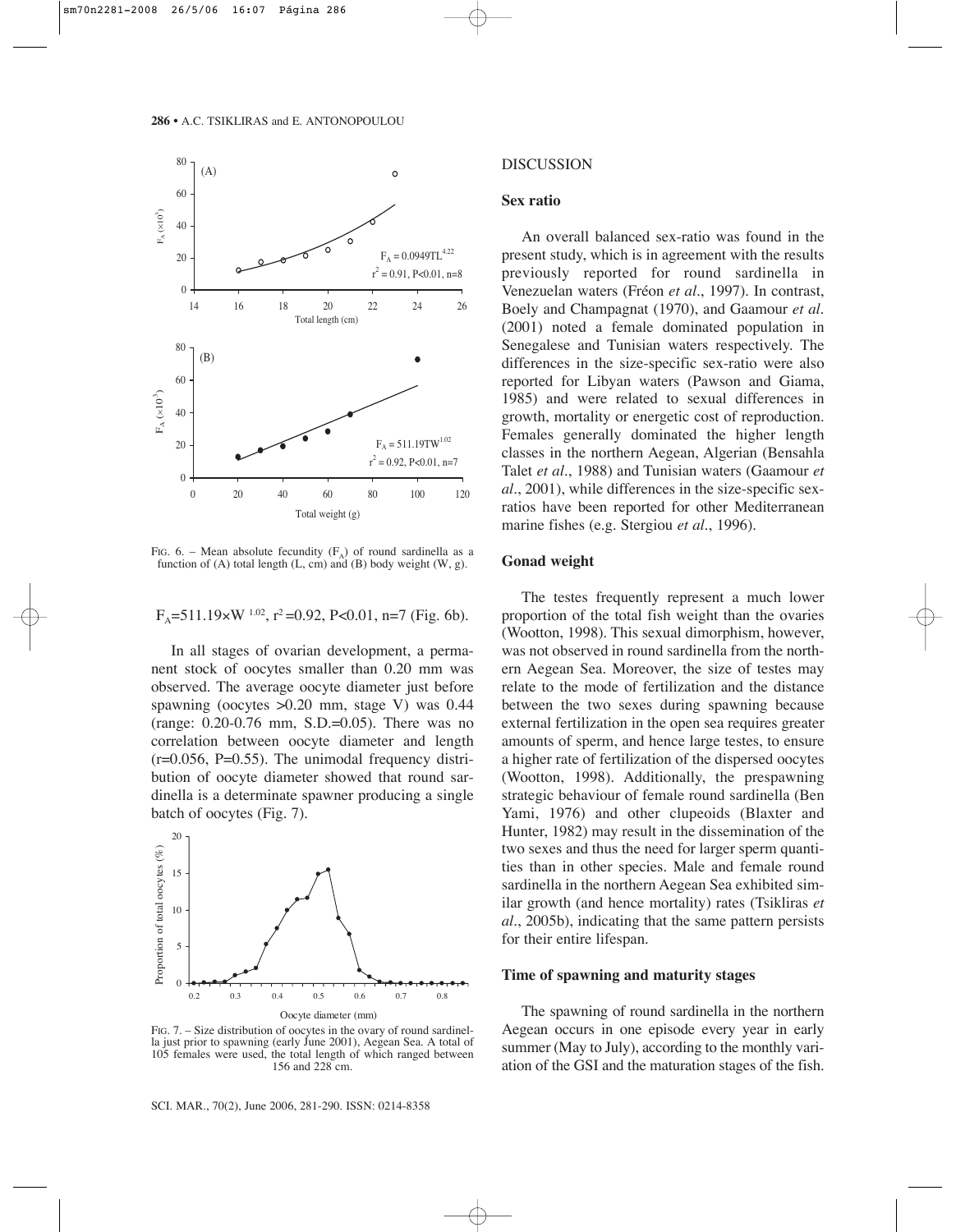

FIG. 6. – Mean absolute fecundity  $(F_4)$  of round sardinella as a function of  $(A)$  total length  $(L, cm)$  and  $(B)$  body weight  $(W, g)$ .

# $F_A$ =511.19×W <sup>1.02</sup>, r<sup>2</sup> =0.92, P<0.01, n=7 (Fig. 6b).

In all stages of ovarian development, a permanent stock of oocytes smaller than 0.20 mm was observed. The average oocyte diameter just before spawning (oocytes >0.20 mm, stage V) was 0.44 (range: 0.20-0.76 mm, S.D.=0.05). There was no correlation between oocyte diameter and length  $(r=0.056, P=0.55)$ . The unimodal frequency distribution of oocyte diameter showed that round sardinella is a determinate spawner producing a single batch of oocytes (Fig. 7).



FIG. 7. – Size distribution of oocytes in the ovary of round sardinella just prior to spawning (early June 2001), Aegean Sea. A total of 105 females were used, the total length of which ranged between 156 and 228 cm.

#### DISCUSSION

## **Sex ratio**

An overall balanced sex-ratio was found in the present study, which is in agreement with the results previously reported for round sardinella in Venezuelan waters (Fréon *et al.*, 1997). In contrast, Boely and Champagnat (1970), and Gaamour *et al.* (2001) noted a female dominated population in Senegalese and Tunisian waters respectively. The differences in the size-specific sex-ratio were also reported for Libyan waters (Pawson and Giama, 1985) and were related to sexual differences in growth, mortality or energetic cost of reproduction. Females generally dominated the higher length classes in the northern Aegean, Algerian (Bensahla Talet *et al.*, 1988) and Tunisian waters (Gaamour *et al.*, 2001), while differences in the size-specific sexratios have been reported for other Mediterranean marine fishes (e.g. Stergiou *et al.*, 1996).

# **Gonad weight**

The testes frequently represent a much lower proportion of the total fish weight than the ovaries (Wootton, 1998). This sexual dimorphism, however, was not observed in round sardinella from the northern Aegean Sea. Moreover, the size of testes may relate to the mode of fertilization and the distance between the two sexes during spawning because external fertilization in the open sea requires greater amounts of sperm, and hence large testes, to ensure a higher rate of fertilization of the dispersed oocytes (Wootton, 1998). Additionally, the prespawning strategic behaviour of female round sardinella (Ben Yami, 1976) and other clupeoids (Blaxter and Hunter, 1982) may result in the dissemination of the two sexes and thus the need for larger sperm quantities than in other species. Male and female round sardinella in the northern Aegean Sea exhibited similar growth (and hence mortality) rates (Tsikliras *et al.*, 2005b), indicating that the same pattern persists for their entire lifespan.

## **Time of spawning and maturity stages**

The spawning of round sardinella in the northern Aegean occurs in one episode every year in early summer (May to July), according to the monthly variation of the GSI and the maturation stages of the fish.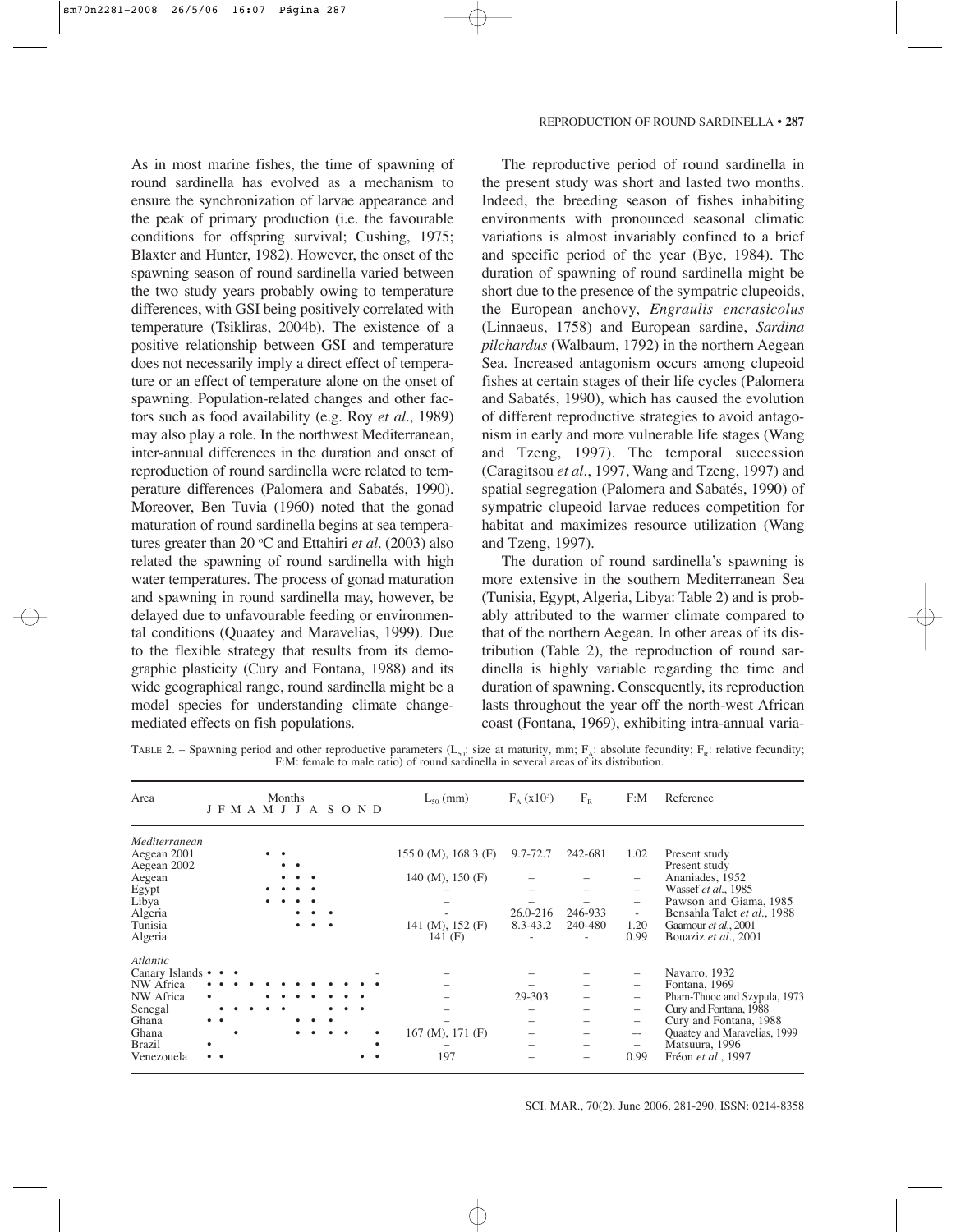As in most marine fishes, the time of spawning of round sardinella has evolved as a mechanism to ensure the synchronization of larvae appearance and the peak of primary production (i.e. the favourable conditions for offspring survival; Cushing, 1975; Blaxter and Hunter, 1982). However, the onset of the spawning season of round sardinella varied between the two study years probably owing to temperature differences, with GSI being positively correlated with temperature (Tsikliras, 2004b). The existence of a positive relationship between GSI and temperature does not necessarily imply a direct effect of temperature or an effect of temperature alone on the onset of spawning. Population-related changes and other factors such as food availability (e.g. Roy *et al.*, 1989) may also play a role. In the northwest Mediterranean, inter-annual differences in the duration and onset of reproduction of round sardinella were related to temperature differences (Palomera and Sabatés, 1990). Moreover, Ben Tuvia (1960) noted that the gonad maturation of round sardinella begins at sea temperatures greater than 20 °C and Ettahiri *et al.* (2003) also related the spawning of round sardinella with high water temperatures. The process of gonad maturation and spawning in round sardinella may, however, be delayed due to unfavourable feeding or environmental conditions (Quaatey and Maravelias, 1999). Due to the flexible strategy that results from its demographic plasticity (Cury and Fontana, 1988) and its wide geographical range, round sardinella might be a model species for understanding climate changemediated effects on fish populations.

The reproductive period of round sardinella in the present study was short and lasted two months. Indeed, the breeding season of fishes inhabiting environments with pronounced seasonal climatic variations is almost invariably confined to a brief and specific period of the year (Bye, 1984). The duration of spawning of round sardinella might be short due to the presence of the sympatric clupeoids, the European anchovy, *Engraulis encrasicolus* (Linnaeus, 1758) and European sardine, *Sardina pilchardus* (Walbaum, 1792) in the northern Aegean Sea. Increased antagonism occurs among clupeoid fishes at certain stages of their life cycles (Palomera and Sabatés, 1990), which has caused the evolution of different reproductive strategies to avoid antagonism in early and more vulnerable life stages (Wang and Tzeng, 1997). The temporal succession (Caragitsou *et al.*, 1997, Wang and Tzeng, 1997) and spatial segregation (Palomera and Sabatés, 1990) of sympatric clupeoid larvae reduces competition for habitat and maximizes resource utilization (Wang and Tzeng, 1997).

The duration of round sardinella's spawning is more extensive in the southern Mediterranean Sea (Tunisia, Egypt, Algeria, Libya: Table 2) and is probably attributed to the warmer climate compared to that of the northern Aegean. In other areas of its distribution (Table 2), the reproduction of round sardinella is highly variable regarding the time and duration of spawning. Consequently, its reproduction lasts throughout the year off the north-west African coast (Fontana, 1969), exhibiting intra-annual varia-

|  |  |  | TABLE 2. – Spawning period and other reproductive parameters ( $L_{50}$ : size at maturity, mm; $F_A$ : absolute fecundity; $F_R$ : relative fecundity; |  |  |  |  |  |  |  |  |
|--|--|--|---------------------------------------------------------------------------------------------------------------------------------------------------------|--|--|--|--|--|--|--|--|
|  |  |  | F.M: female to male ratio) of round sardinella in several areas of its distribution.                                                                    |  |  |  |  |  |  |  |  |

| Area                                                                                                                        | JFMAMJJASOND |  | Months |  |   | $L_{50}$ (mm)                                                               | $F_{\rm A}$ (x10 <sup>3</sup> )  | $F_R$                         | F:M                                      | Reference                                                                                                                                                                                  |
|-----------------------------------------------------------------------------------------------------------------------------|--------------|--|--------|--|---|-----------------------------------------------------------------------------|----------------------------------|-------------------------------|------------------------------------------|--------------------------------------------------------------------------------------------------------------------------------------------------------------------------------------------|
| Mediterranean<br>Aegean 2001<br>Aegean 2002<br>Aegean<br>Egypt<br>Libya<br>Algeria<br>Tunisia<br>Algeria                    |              |  |        |  |   | 155.0 (M), 168.3 (F)<br>140 (M), $150$ (F)<br>141 (M), $152$ (F)<br>141 (F) | 9.7-72.7<br>26.0-216<br>8.3-43.2 | 242-681<br>246-933<br>240-480 | 1.02<br>-<br>-<br>$\sim$<br>1.20<br>0.99 | Present study<br>Present study<br>Ananiades, 1952<br>Wassef et al., 1985<br>Pawson and Giama, 1985<br>Bensahla Talet et al., 1988<br>Gaamour et al., 2001<br>Bouaziz et al., 2001          |
| <b>Atlantic</b><br>Canary Islands • •<br>NW Africa<br>NW Africa<br>Senegal<br>Ghana<br>Ghana<br><b>Brazil</b><br>Venezouela |              |  |        |  | ٠ | $167 \ (M), 171 \ (F)$<br>197                                               | 29-303                           |                               | -<br>-<br>-<br>$-$<br>-<br>0.99          | Navarro, 1932<br>Fontana, 1969<br>Pham-Thuoc and Szypula, 1973<br>Cury and Fontana, 1988<br>Cury and Fontana, 1988<br>Quaatey and Maravelias, 1999<br>Matsuura, 1996<br>Fréon et al., 1997 |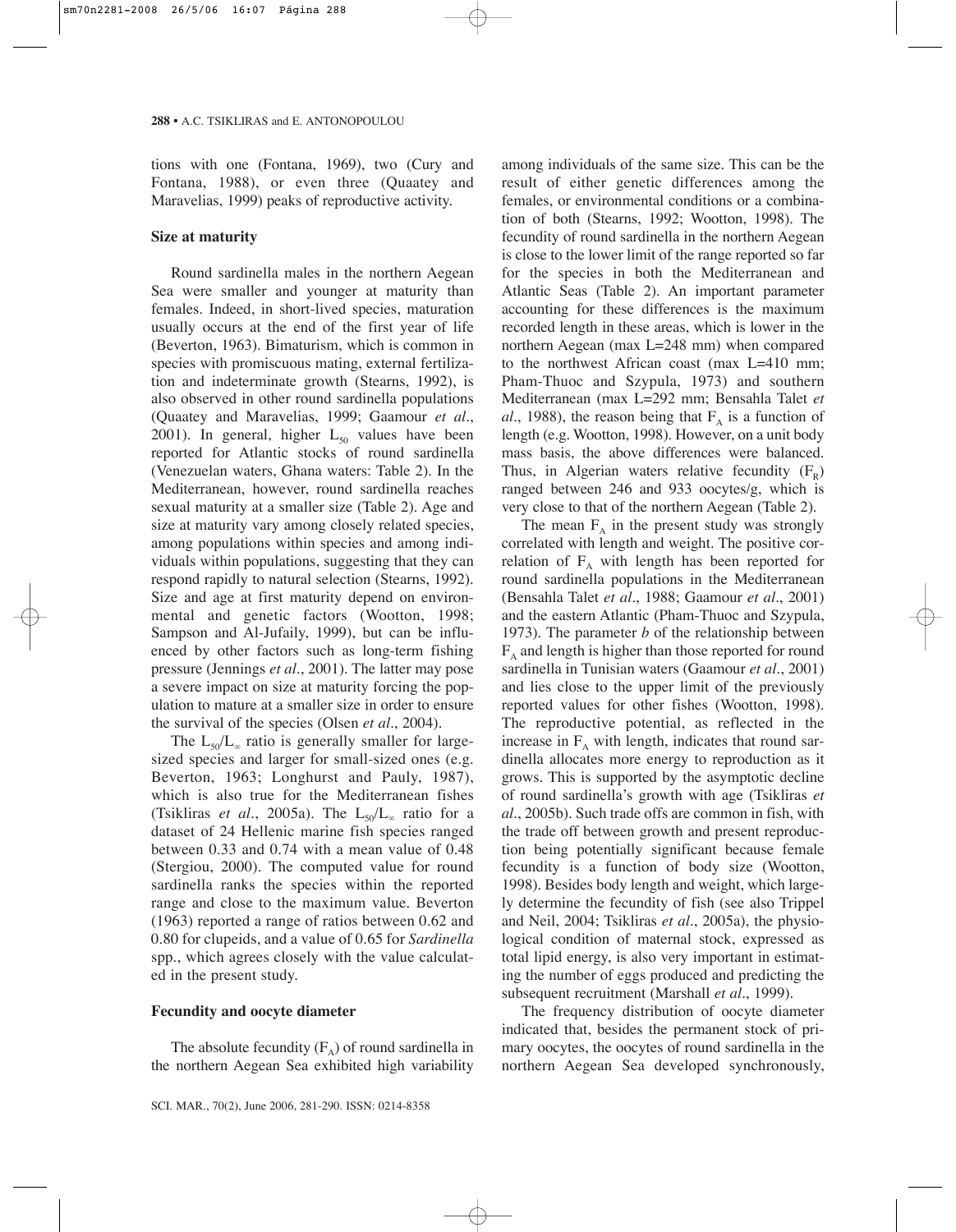tions with one (Fontana, 1969), two (Cury and Fontana, 1988), or even three (Quaatey and Maravelias, 1999) peaks of reproductive activity.

# **Size at maturity**

Round sardinella males in the northern Aegean Sea were smaller and younger at maturity than females. Indeed, in short-lived species, maturation usually occurs at the end of the first year of life (Beverton, 1963). Bimaturism, which is common in species with promiscuous mating, external fertilization and indeterminate growth (Stearns, 1992), is also observed in other round sardinella populations (Quaatey and Maravelias, 1999; Gaamour *et al.*, 2001). In general, higher  $L_{50}$  values have been reported for Atlantic stocks of round sardinella (Venezuelan waters, Ghana waters: Table 2). In the Mediterranean, however, round sardinella reaches sexual maturity at a smaller size (Table 2). Age and size at maturity vary among closely related species, among populations within species and among individuals within populations, suggesting that they can respond rapidly to natural selection (Stearns, 1992). Size and age at first maturity depend on environmental and genetic factors (Wootton, 1998; Sampson and Al-Jufaily, 1999), but can be influenced by other factors such as long-term fishing pressure (Jennings *et al.*, 2001). The latter may pose a severe impact on size at maturity forcing the population to mature at a smaller size in order to ensure the survival of the species (Olsen *et al*., 2004).

The  $L_{50}/L_{\infty}$  ratio is generally smaller for largesized species and larger for small-sized ones (e.g. Beverton, 1963; Longhurst and Pauly, 1987), which is also true for the Mediterranean fishes (Tsikliras *et al.*, 2005a). The  $L_{50}/L_{\infty}$  ratio for a dataset of 24 Hellenic marine fish species ranged between 0.33 and 0.74 with a mean value of 0.48 (Stergiou, 2000). The computed value for round sardinella ranks the species within the reported range and close to the maximum value. Beverton (1963) reported a range of ratios between 0.62 and 0.80 for clupeids, and a value of 0.65 for *Sardinella* spp., which agrees closely with the value calculated in the present study.

# **Fecundity and oocyte diameter**

The absolute fecundity  $(F_A)$  of round sardinella in the northern Aegean Sea exhibited high variability

among individuals of the same size. This can be the result of either genetic differences among the females, or environmental conditions or a combination of both (Stearns, 1992; Wootton, 1998). The fecundity of round sardinella in the northern Aegean is close to the lower limit of the range reported so far for the species in both the Mediterranean and Atlantic Seas (Table 2). An important parameter accounting for these differences is the maximum recorded length in these areas, which is lower in the northern Aegean (max L=248 mm) when compared to the northwest African coast (max L=410 mm; Pham-Thuoc and Szypula, 1973) and southern Mediterranean (max L=292 mm; Bensahla Talet *et al.*, 1988), the reason being that  $F<sub>A</sub>$  is a function of length (e.g. Wootton, 1998). However, on a unit body mass basis, the above differences were balanced. Thus, in Algerian waters relative fecundity  $(F_R)$ ranged between 246 and 933 oocytes/g, which is very close to that of the northern Aegean (Table 2).

The mean  $F_A$  in the present study was strongly correlated with length and weight. The positive correlation of  $F_A$  with length has been reported for round sardinella populations in the Mediterranean (Bensahla Talet *et al.*, 1988; Gaamour *et al.*, 2001) and the eastern Atlantic (Pham-Thuoc and Szypula, 1973). The parameter *b* of the relationship between  $F_A$  and length is higher than those reported for round sardinella in Tunisian waters (Gaamour *et al.*, 2001) and lies close to the upper limit of the previously reported values for other fishes (Wootton, 1998). The reproductive potential, as reflected in the increase in  $F_A$  with length, indicates that round sardinella allocates more energy to reproduction as it grows. This is supported by the asymptotic decline of round sardinella's growth with age (Tsikliras *et al.*, 2005b). Such trade offs are common in fish, with the trade off between growth and present reproduction being potentially significant because female fecundity is a function of body size (Wootton, 1998). Besides body length and weight, which largely determine the fecundity of fish (see also Trippel and Neil, 2004; Tsikliras *et al.*, 2005a), the physiological condition of maternal stock, expressed as total lipid energy, is also very important in estimating the number of eggs produced and predicting the subsequent recruitment (Marshall *et al.*, 1999).

The frequency distribution of oocyte diameter indicated that, besides the permanent stock of primary oocytes, the oocytes of round sardinella in the northern Aegean Sea developed synchronously,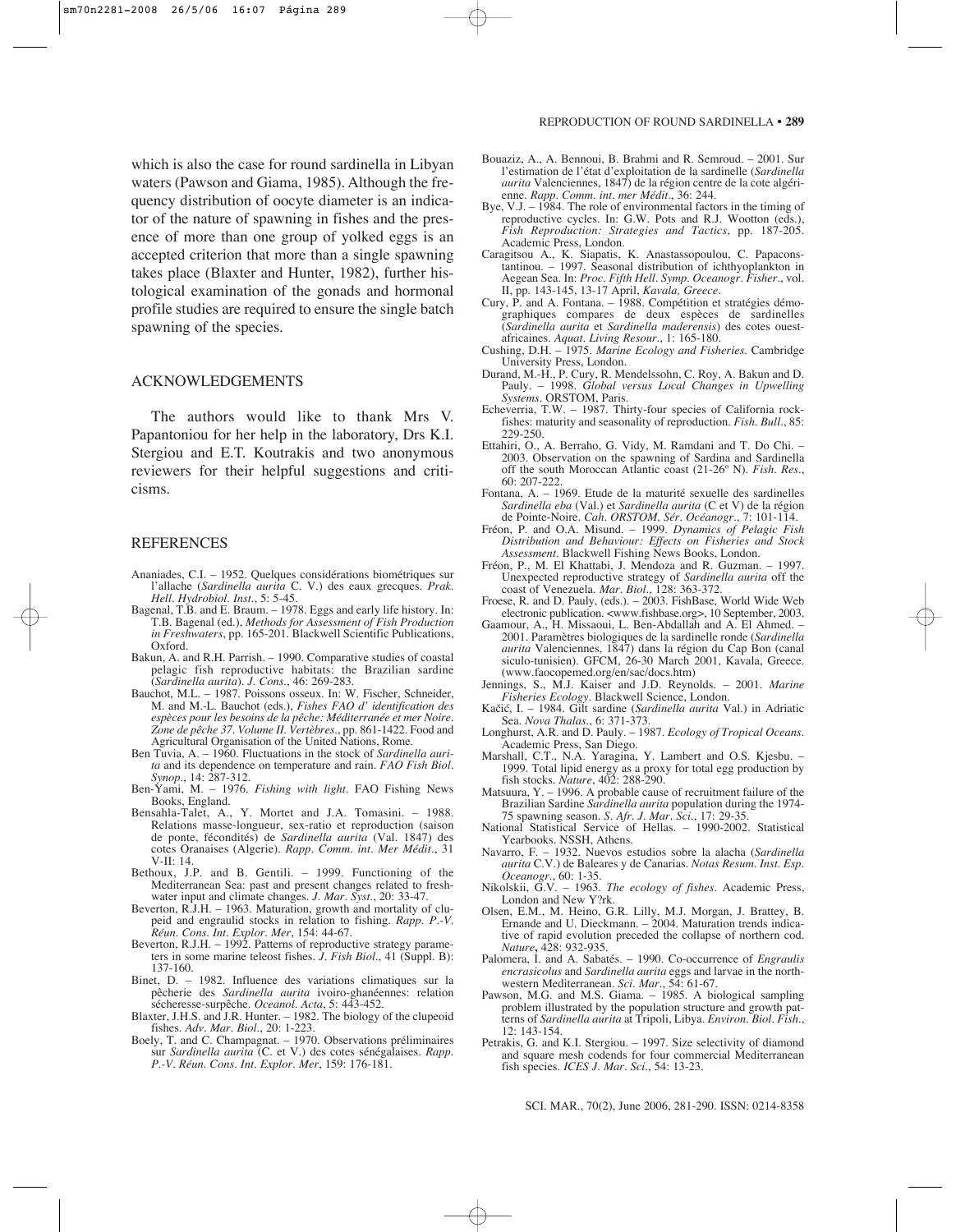which is also the case for round sardinella in Libyan waters (Pawson and Giama, 1985). Although the frequency distribution of oocyte diameter is an indicator of the nature of spawning in fishes and the presence of more than one group of yolked eggs is an accepted criterion that more than a single spawning takes place (Blaxter and Hunter, 1982), further histological examination of the gonads and hormonal profile studies are required to ensure the single batch spawning of the species.

#### ACKNOWLEDGEMENTS

The authors would like to thank Mrs V. Papantoniou for her help in the laboratory, Drs K.I. Stergiou and E.T. Koutrakis and two anonymous reviewers for their helpful suggestions and criticisms.

#### REFERENCES

- Ananiades, C.I. 1952. Quelques considérations biométriques sur l'allache (*Sardinella aurita* C. V.) des eaux grecques. *Prak. Hell. Hydrobiol. Inst.*, 5: 5-45.
- Bagenal, T.B. and E. Braum. 1978. Eggs and early life history. In: T.B. Bagenal (ed.), *Methods for Assessment of Fish Production in Freshwaters*, pp. 165-201. Blackwell Scientific Publications, Oxford.
- Bakun, A. and R.H. Parrish. 1990. Comparative studies of coastal pelagic fish reproductive habitats: the Brazilian sardine (*Sardinella aurita*). *J. Cons.*, 46: 269-283.
- Bauchot, M.L. 1987. Poissons osseux. In: W. Fischer, Schneider, M. and M.-L. Bauchot (eds.), *Fishes FAO d' identification des espèces pour les besoins de la pêche: Méditerranée et mer Noire. Zone de pêche 37. Volume II. Vertèbres.*, pp. 861-1422. Food and Agricultural Organisation of the United Nations, Rome.
- Ben Tuvia, A. 1960. Fluctuations in the stock of *Sardinella aurita* and its dependence on temperature and rain. *FAO Fish Biol. Synop.*, 14: 287-312.
- Ben-Yami, M. 1976. *Fishing with light*. FAO Fishing News Books, England.
- Bensahla-Talet, A., Y. Mortet and J.A. Tomasini. 1988. Relations masse-longueur, sex-ratio et reproduction (saison de ponte, fécondités) de *Sardinella aurita* (Val. 1847) des cotes Oranaises (Algerie). *Rapp. Comm. int. Mer Médit.*, 31 V-II: 14.
- Bethoux, J.P. and B. Gentili. 1999. Functioning of the Mediterranean Sea: past and present changes related to freshwater input and climate changes. *J. Mar. Syst.*, 20: 33-47.
- Beverton, R.J.H. 1963. Maturation, growth and mortality of clupeid and engraulid stocks in relation to fishing. *Rapp. P.-V. Réun. Cons. Int. Explor. Mer*, 154: 44-67.
- Beverton, R.J.H. 1992. Patterns of reproductive strategy parameters in some marine teleost fishes. *J. Fish Biol.*, 41 (Suppl. B): 137-160.
- Binet, D. 1982. Influence des variations climatiques sur la pêcherie des *Sardinella aurita* ivoiro-ghanéennes: relation sécheresse-surpêche. *Oceanol. Acta*, 5: 443-452.
- Blaxter, J.H.S. and J.R. Hunter. 1982. The biology of the clupeoid fishes. *Adv. Mar. Biol.*, 20: 1-223.
- Boely, T. and C. Champagnat. 1970. Observations préliminaires sur *Sardinella aurita* (C. et V.) des cotes sénégalaises. *Rapp. P.-V. Réun. Cons. Int. Explor. Mer*, 159: 176-181.
- Bouaziz, A., A. Bennoui, B. Brahmi and R. Semroud. 2001. Sur l'estimation de l'état d'exploitation de la sardinelle (*Sardinella aurita* Valenciennes, 1847) de la région centre de la cote algérienne. *Rapp. Comm. int. mer Médit.*, 36: 244.
- Bye, V.J. 1984. The role of environmental factors in the timing of reproductive cycles. In: G.W. Pots and R.J. Wootton (eds.), *Fish Reproduction: Strategies and Tactics*, pp. 187-205. Academic Press, London.
- Caragitsou A., K. Siapatis, K. Anastassopoulou, C. Papaconstantinou. – 1997. Seasonal distribution of ichthyoplankton in Aegean Sea. In: *Proc. Fifth Hell. Symp. Oceanogr. Fisher.*, vol. II, pp. 143-145, 13-17 April, *Kavala, Greece*.
- Cury, P. and A. Fontana. 1988. Compétition et stratégies démographiques compares de deux espèces de sardinelles (*Sardinella aurita* et *Sardinella maderensis*) des cotes ouestafricaines. *Aquat. Living Resour.*, 1: 165-180.
- Cushing, D.H. 1975. *Marine Ecology and Fisheries*. Cambridge University Press, London.
- Durand, M.-H., P. Cury, R. Mendelssohn, C. Roy, A. Bakun and D. Pauly. – 1998. *Global versus Local Changes in Upwelling Systems*. ORSTOM, Paris.
- Echeverria, T.W. 1987. Thirty-four species of California rockfishes: maturity and seasonality of reproduction. *Fish. Bull.*, 85: 229-250.
- Ettahiri, O., A. Berraho, G. Vidy, M. Ramdani and T. Do Chi. 2003. Observation on the spawning of Sardina and Sardinella off the south Moroccan Atlantic coast (21-26º N). *Fish. Res.*, 60: 207-222.
- Fontana, A. 1969. Etude de la maturité sexuelle des sardinelles *Sardinella eba* (Val.) et *Sardinella aurita* (C et V) de la région de Pointe-Noire. *Cah. ORSTOM, Sér. Océanogr.*, 7: 101-114.
- Fréon, P. and O.A. Misund. 1999. *Dynamics of Pelagic Fish Distribution and Behaviour: Effects on Fisheries and Stock Assessment*. Blackwell Fishing News Books, London.
- Fréon, P., M. El Khattabi, J. Mendoza and R. Guzman. 1997. Unexpected reproductive strategy of *Sardinella aurita* off the coast of Venezuela. *Mar. Biol.*, 128: 363-372.
- Froese, R. and D. Pauly, (eds.). 2003. FishBase, World Wide Web electronic publication. <www.fishbase.org>, 10 September, 2003.
- Gaamour, A., H. Missaoui, L. Ben-Abdallah and A. El Ahmed. 2001. Paramètres biologiques de la sardinelle ronde (*Sardinella aurita* Valenciennes, 1847) dans la région du Cap Bon (canal siculo-tunisien). GFCM, 26-30 March 2001, Kavala, Greece. (www.faocopemed.org/en/sac/docs.htm)
- Jennings, S., M.J. Kaiser and J.D. Reynolds. 2001. *Marine Fisheries Ecology*. Blackwell Science, London.
- Kačić, I. 1984. Gilt sardine (*Sardinella aurita* Val.) in Adriatic Sea. *Nova Thalas.*, 6: 371-373.
- Longhurst, A.R. and D. Pauly. 1987. *Ecology of Tropical Oceans*. Academic Press, San Diego.
- Marshall, C.T., N.A. Yaragina, Y. Lambert and O.S. Kjesbu. 1999. Total lipid energy as a proxy for total egg production by fish stocks. *Nature*, 402: 288-290.
- Matsuura, Y. 1996. A probable cause of recruitment failure of the Brazilian Sardine *Sardinella aurita* population during the 1974- 75 spawning season. *S. Afr. J. Mar. Sci.*, 17: 29-35.
- National Statistical Service of Hellas. 1990-2002. Statistical Yearbooks. NSSH, Athens.
- Navarro, F. 1932. Nuevos estudios sobre la alacha (*Sardinella aurita* C.V.) de Baleares y de Canarias. *Notas Resum. Inst. Esp. Oceanogr.*, 60: 1-35.
- Nikolskii, G.V. 1963. *The ecology of fishes*. Academic Press, London and New Y?rk.
- Olsen, E.M., M. Heino, G.R. Lilly, M.J. Morgan, J. Brattey, B. Ernande and U. Dieckmann. – 2004. Maturation trends indicative of rapid evolution preceded the collapse of northern cod. *Nature***,** 428: 932-935.
- Palomera, I. and A. Sabatés. 1990. Co-occurrence of *Engraulis encrasicolus* and *Sardinella aurita* eggs and larvae in the northwestern Mediterranean. *Sci. Mar.*, 54: 61-67.
- Pawson, M.G. and M.S. Giama. 1985. A biological sampling problem illustrated by the population structure and growth patterns of *Sardinella aurita* at Tripoli, Libya. *Environ. Biol. Fish.*, 12: 143-154.
- Petrakis, G. and K.I. Stergiou. 1997. Size selectivity of diamond and square mesh codends for four commercial Mediterranean fish species. *ICES J. Mar. Sci.*, 54: 13-23.